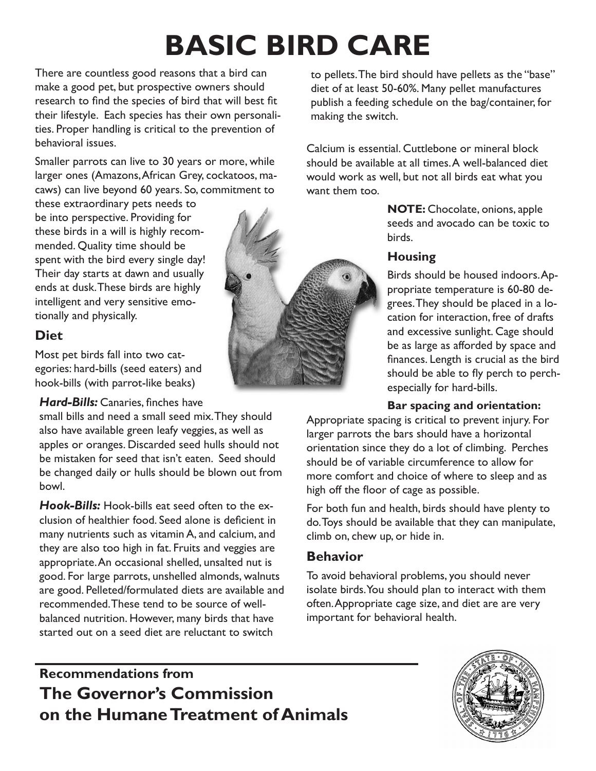# **BASIC BIRD CARE**

There are countless good reasons that a bird can make a good pet, but prospective owners should research to find the species of bird that will best fit their lifestyle. Each species has their own personalities. Proper handling is critical to the prevention of behavioral issues.

Smaller parrots can live to 30 years or more, while larger ones (Amazons, African Grey, cockatoos, macaws) can live beyond 60 years. So, commitment to

these extraordinary pets needs to be into perspective. Providing for these birds in a will is highly recommended. Quality time should be spent with the bird every single day! Their day starts at dawn and usually ends at dusk. These birds are highly intelligent and very sensitive emotionally and physically.

## **Diet**

Most pet birds fall into two categories: hard-bills (seed eaters) and hook-bills (with parrot-like beaks)

*Hard-Bills:* Canaries, finches have

small bills and need a small seed mix. They should also have available green leafy veggies, as well as apples or oranges. Discarded seed hulls should not be mistaken for seed that isn't eaten. Seed should be changed daily or hulls should be blown out from bowl.

*Hook-Bills:* Hook-bills eat seed often to the exclusion of healthier food. Seed alone is deficient in many nutrients such as vitamin A, and calcium, and they are also too high in fat. Fruits and veggies are appropriate. An occasional shelled, unsalted nut is good. For large parrots, unshelled almonds, walnuts are good. Pelleted/formulated diets are available and recommended. These tend to be source of wellbalanced nutrition. However, many birds that have started out on a seed diet are reluctant to switch



to pellets. The bird should have pellets as the "base" diet of at least 50-60%. Many pellet manufactures publish a feeding schedule on the bag/container, for making the switch.

Calcium is essential. Cuttlebone or mineral block should be available at all times. A well-balanced diet would work as well, but not all birds eat what you want them too.

> **NOTE:** Chocolate, onions, apple seeds and avocado can be toxic to birds.

### **Housing**

Birds should be housed indoors. Appropriate temperature is 60-80 degrees. They should be placed in a location for interaction, free of drafts and excessive sunlight. Cage should be as large as afforded by space and finances. Length is crucial as the bird should be able to fly perch to perchespecially for hard-bills.

#### **Bar spacing and orientation:**

Appropriate spacing is critical to prevent injury. For larger parrots the bars should have a horizontal orientation since they do a lot of climbing. Perches should be of variable circumference to allow for more comfort and choice of where to sleep and as high off the floor of cage as possible.

For both fun and health, birds should have plenty to do. Toys should be available that they can manipulate, climb on, chew up, or hide in.

## **Behavior**

To avoid behavioral problems, you should never isolate birds. You should plan to interact with them often. Appropriate cage size, and diet are are very important for behavioral health.

# **Recommendations from The Governor's Commission on the Humane Treatment of Animals**